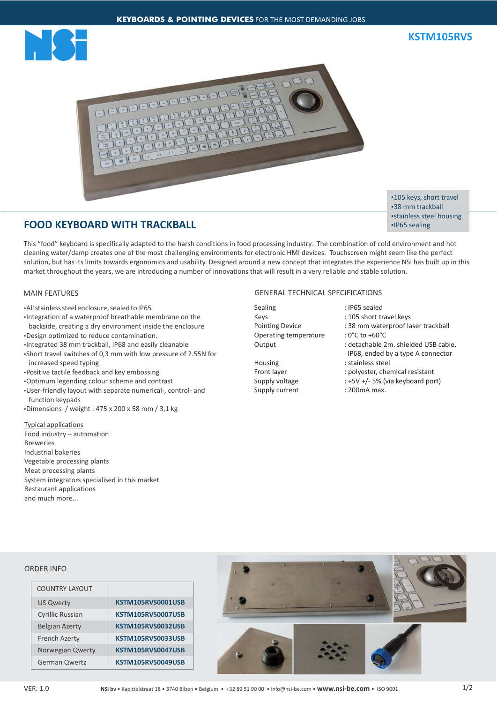



# **FOOD KEYBOARD WITH TRACKBALL**

•105 keys, short travel •38 mm trackball • stainless steel housing •IP65 sealing

This "food" keyboard is specifically adapted to the harsh conditions in food processing industry. The combination of cold environment and hot cleaning water/damp creates one of the most challenging environments for electronic HMI devices. Touchscreen might seem like the perfect solution, but has its limits towards ergonomics and usability. Designed around a new concept that integrates the experience NSI has built up in this market throughout the years, we are introducing a number of innovations that will result in a very reliable and stable solution.

## MAIN FEATURES

- **All stainless steel enclosure, sealed to IP65**
- •Integration of a waterproof breathable membrane on the backside, creating a dry environment inside the enclosure
- •Design optimized to reduce contamination.
- •Integrated 38 mm trackball, IP68 and easily cleanable
- •Short travel switches of 0,3 mm with low pressure of 2.55N for increased speed typing
- Positive tactile feedback and key embossing
- ŸOptimum legending colour scheme and contrast
- User-friendly layout with separate numerical-, control- and function keypads
- $\cdot$ Dimensions / weight : 475 x 200 x 58 mm / 3,1 kg

### Typical applications Food industry – automation Breweries Industrial bakeries Vegetable processing plants Meat processing plants System integrators specialised in this market Restaurant applications and much more...

# GENERAL TECHNICAL SPECIFICATIONS

Sealing : IP65 sealed Keys : 105 short travel keys Operating temperature : 0°C to +60°C

# Housing : stainless steel Supply current : 200mA max.

- 
- 
- Pointing Device : 38 mm waterproof laser trackball
	-
- Output : detachable 2m. shielded USB cable, IP68, ended by a type A connector
- Front layer : polyester, chemical resistant
- Supply voltage : +5V +/- 5% (via keyboard port)
	-

#### ORDER INFO

| <b>COUNTRY LAYOUT</b>   |                   |
|-------------------------|-------------------|
| <b>US Qwerty</b>        | KSTM105RVS0001USB |
| <b>Cyrillic Russian</b> | KSTM105RVS0007USB |
| <b>Belgian Azerty</b>   | KSTM105RVS0032USB |
| <b>French Azerty</b>    | KSTM105RVS0033USB |
| Norwegian Qwerty        | KSTM105RVS0047USB |
| <b>German Qwertz</b>    | KSTM105RVS0049USB |